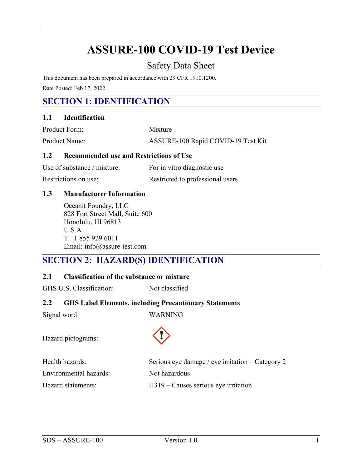# **ASSURE-100 COVID-19 Test Device**

# Safety Data Sheet

This document has been prepared in accordance with 29 CFR 1910.1200.

Date Posted: Feb 17, 2022

# **SECTION 1: IDENTIFICATION**

#### **1.1 Identification**

| Product Form:        | Mixture                            |
|----------------------|------------------------------------|
| <b>Product Name:</b> | ASSURE-100 Rapid COVID-19 Test Kit |

#### **1.2 Recommended use and Restrictions of Use**

| Use of substance / mixture: | For in vitro diagnostic use      |
|-----------------------------|----------------------------------|
| Restrictions on use:        | Restricted to professional users |

#### **1.3 Manufacturer Information**

Oceanit Foundry, LLC 828 Fort Street Mall, Suite 600 Honolulu, HI 96813 U.S.A T +1 855 929 6011 Email: info@assure-test.com

### **SECTION 2: HAZARD(S) IDENTIFICATION**

#### **2.1 Classification of the substance or mixture**

GHS U.S. Classification: Not classified

#### **2.2 GHS Label Elements, including Precautionary Statements**

Signal word: WARNING

Hazard pictograms:



| Health hazards:        | Serious eye damage / eye irritation $-$ Category 2 |
|------------------------|----------------------------------------------------|
| Environmental hazards: | Not hazardous                                      |
| Hazard statements:     | $H319$ – Causes serious eye irritation             |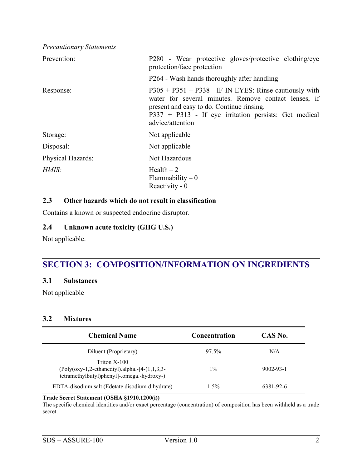| <b>Precautionary Statements</b> |                                                                                                                                                                                                                                              |
|---------------------------------|----------------------------------------------------------------------------------------------------------------------------------------------------------------------------------------------------------------------------------------------|
| Prevention:                     | P280 - Wear protective gloves/protective clothing/eye<br>protection/face protection                                                                                                                                                          |
|                                 | P264 - Wash hands thoroughly after handling                                                                                                                                                                                                  |
| Response:                       | $P305 + P351 + P338$ - IF IN EYES: Rinse cautiously with<br>water for several minutes. Remove contact lenses, if<br>present and easy to do. Continue rinsing.<br>$P337 + P313$ - If eye irritation persists: Get medical<br>advice/attention |
| Storage:                        | Not applicable                                                                                                                                                                                                                               |
| Disposal:                       | Not applicable                                                                                                                                                                                                                               |
| Physical Hazards:               | Not Hazardous                                                                                                                                                                                                                                |
| H MIS:                          | $Health-2$<br>Flammability $-0$<br>Reactivity - 0                                                                                                                                                                                            |

#### **2.3 Other hazards which do not result in classification**

Contains a known or suspected endocrine disruptor.

#### **2.4 Unknown acute toxicity (GHG U.S.)**

Not applicable.

# **SECTION 3: COMPOSITION/INFORMATION ON INGREDIENTS**

#### **3.1 Substances**

Not applicable

#### **3.2 Mixtures**

| <b>Chemical Name</b>                                                                                                    | <b>Concentration</b> | CAS No.   |
|-------------------------------------------------------------------------------------------------------------------------|----------------------|-----------|
| Diluent (Proprietary)                                                                                                   | 97.5%                | N/A       |
| Triton X-100<br>$\text{Poly(oxy-1,2-ethanediyl).alpha.-[4-(1,1,3,3-1] )}$<br>tetramethylbutyl)phenyl]-.omega.-hydroxy-) | $1\%$                | 9002-93-1 |
| EDTA-disodium salt (Edetate disodium dihydrate)                                                                         | $1.5\%$              | 6381-92-6 |

#### **Trade Secret Statement (OSHA §1910.1200(i))**

The specific chemical identities and/or exact percentage (concentration) of composition has been withheld as a trade secret.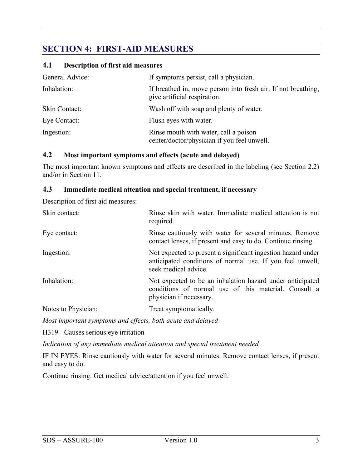# **SECTION 4: FIRST-AID MEASURES**

#### **4.1 Description of first aid measures**

| General Advice: | If symptoms persist, call a physician.                                                        |
|-----------------|-----------------------------------------------------------------------------------------------|
| Inhalation:     | If breathed in, move person into fresh air. If not breathing,<br>give artificial respiration. |
| Skin Contact:   | Wash off with soap and plenty of water.                                                       |
| Eye Contact:    | Flush eyes with water.                                                                        |
| Ingestion:      | Rinse mouth with water, call a poison<br>center/doctor/physician if you feel unwell.          |

#### **4.2 Most important symptoms and effects (acute and delayed)**

The most important known symptoms and effects are described in the labeling (see Section 2.2) and/or in Section 11.

#### **4.3 Immediate medical attention and special treatment, if necessary**

Description of first aid measures:

| Skin contact:       | Rinse skin with water. Immediate medical attention is not<br>required.                                                                            |  |  |  |
|---------------------|---------------------------------------------------------------------------------------------------------------------------------------------------|--|--|--|
| Eye contact:        | Rinse cautiously with water for several minutes. Remove<br>contact lenses, if present and easy to do. Continue rinsing.                           |  |  |  |
| Ingestion:          | Not expected to present a significant ingestion hazard under<br>anticipated conditions of normal use. If you feel unwell,<br>seek medical advice. |  |  |  |
| Inhalation:         | Not expected to be an inhalation hazard under anticipated<br>conditions of normal use of this material. Consult a<br>physician if necessary.      |  |  |  |
| Notes to Physician: | Treat symptomatically.                                                                                                                            |  |  |  |

*Most important symptoms and effects, both acute and delayed*

H319 - Causes serious eye irritation

*Indication of any immediate medical attention and special treatment needed*

IF IN EYES: Rinse cautiously with water for several minutes. Remove contact lenses, if present and easy to do.

Continue rinsing. Get medical advice/attention if you feel unwell.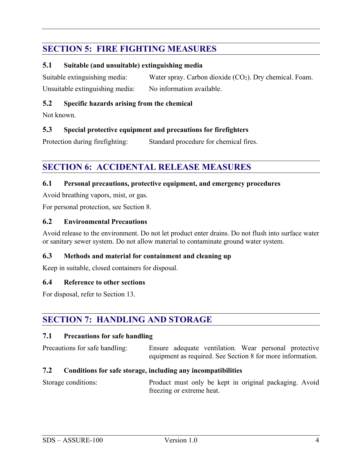# **SECTION 5: FIRE FIGHTING MEASURES**

#### **5.1 Suitable (and unsuitable) extinguishing media**

Suitable extinguishing media: Water spray. Carbon dioxide  $(CO_2)$ . Dry chemical. Foam. Unsuitable extinguishing media: No information available.

#### **5.2 Specific hazards arising from the chemical**

Not known.

#### **5.3 Special protective equipment and precautions for firefighters**

Protection during firefighting: Standard procedure for chemical fires.

# **SECTION 6: ACCIDENTAL RELEASE MEASURES**

#### **6.1 Personal precautions, protective equipment, and emergency procedures**

Avoid breathing vapors, mist, or gas.

For personal protection, see Section 8.

#### **6.2 Environmental Precautions**

Avoid release to the environment. Do not let product enter drains. Do not flush into surface water or sanitary sewer system. Do not allow material to contaminate ground water system.

#### **6.3 Methods and material for containment and cleaning up**

Keep in suitable, closed containers for disposal.

#### **6.4 Reference to other sections**

For disposal, refer to Section 13.

### **SECTION 7: HANDLING AND STORAGE**

#### **7.1 Precautions for safe handling**

Precautions for safe handling: Ensure adequate ventilation. Wear personal protective equipment as required. See Section 8 for more information.

#### **7.2 Conditions for safe storage, including any incompatibilities**

Storage conditions: Product must only be kept in original packaging. Avoid freezing or extreme heat.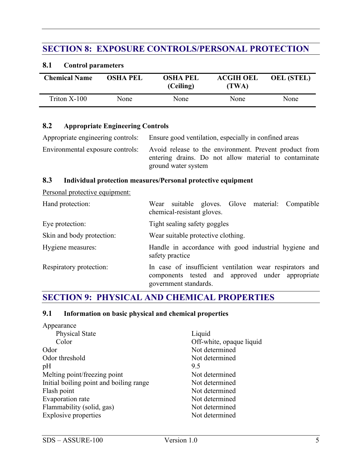# **SECTION 8: EXPOSURE CONTROLS/PERSONAL PROTECTION**

#### **8.1 Control parameters**

| <b>Chemical Name</b> | <b>OSHA PEL</b> | <b>OSHA PEL</b><br>(Ceiling) | <b>ACGIH OEL</b><br>(TWA) | <b>OEL (STEL)</b> |
|----------------------|-----------------|------------------------------|---------------------------|-------------------|
| Triton X-100         | None            | None                         | None                      | None              |

#### **8.2 Appropriate Engineering Controls**

Appropriate engineering controls: Ensure good ventilation, especially in confined areas

Environmental exposure controls: Avoid release to the environment. Prevent product from entering drains. Do not allow material to contaminate ground water system

#### **8.3 Individual protection measures/Personal protective equipment**

Personal protective equipment:

| Hand protection:          | Wear suitable gloves. Glove material: Compatible<br>chemical-resistant gloves.                                                        |  |  |  |  |  |
|---------------------------|---------------------------------------------------------------------------------------------------------------------------------------|--|--|--|--|--|
| Eye protection:           | Tight sealing safety goggles                                                                                                          |  |  |  |  |  |
| Skin and body protection: | Wear suitable protective clothing.                                                                                                    |  |  |  |  |  |
| Hygiene measures:         | Handle in accordance with good industrial hygiene and<br>safety practice                                                              |  |  |  |  |  |
| Respiratory protection:   | In case of insufficient ventilation wear respirators and<br>components tested and approved under appropriate<br>government standards. |  |  |  |  |  |

### **SECTION 9: PHYSICAL AND CHEMICAL PROPERTIES**

#### **9.1 Information on basic physical and chemical properties**

| Liquid                   |
|--------------------------|
| Off-white, opaque liquid |
| Not determined           |
| Not determined           |
| 9.5                      |
| Not determined           |
| Not determined           |
| Not determined           |
| Not determined           |
| Not determined           |
| Not determined           |
|                          |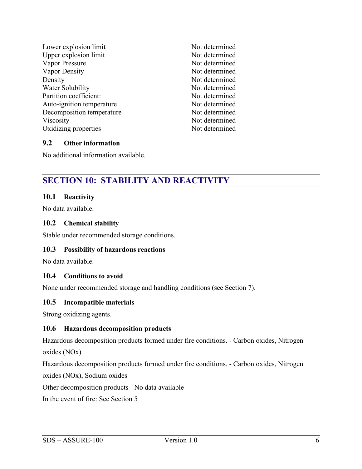Lower explosion limit Not determined Upper explosion limit Not determined Vapor Pressure Not determined Vapor Density Not determined Density Not determined Water Solubility Not determined Partition coefficient: Not determined Auto-ignition temperature Not determined Decomposition temperature Not determined Viscosity Not determined Oxidizing properties Not determined

#### **9.2 Other information**

No additional information available.

# **SECTION 10: STABILITY AND REACTIVITY**

#### **10.1 Reactivity**

No data available.

#### **10.2 Chemical stability**

Stable under recommended storage conditions.

#### **10.3 Possibility of hazardous reactions**

No data available.

#### **10.4 Conditions to avoid**

None under recommended storage and handling conditions (see Section 7).

#### **10.5 Incompatible materials**

Strong oxidizing agents.

#### **10.6 Hazardous decomposition products**

Hazardous decomposition products formed under fire conditions. - Carbon oxides, Nitrogen oxides (NOx)

Hazardous decomposition products formed under fire conditions. - Carbon oxides, Nitrogen oxides (NOx), Sodium oxides

Other decomposition products - No data available

In the event of fire: See Section 5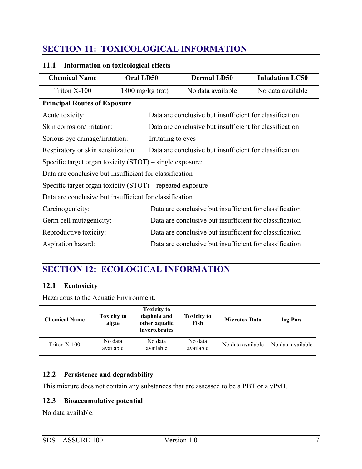# **SECTION 11: TOXICOLOGICAL INFORMATION**

#### **11.1 Information on toxicological effects**

| <b>Chemical Name</b>                                                                          | Oral LD50            | <b>Dermal LD50</b>                                       | <b>Inhalation LC50</b> |
|-----------------------------------------------------------------------------------------------|----------------------|----------------------------------------------------------|------------------------|
| Triton X-100                                                                                  | $= 1800$ mg/kg (rat) | No data available                                        | No data available      |
| <b>Principal Routes of Exposure</b>                                                           |                      |                                                          |                        |
| Acute toxicity:                                                                               |                      | Data are conclusive but insufficient for classification. |                        |
| Skin corrosion/irritation:                                                                    |                      | Data are conclusive but insufficient for classification  |                        |
| Serious eye damage/irritation:                                                                |                      | Irritating to eyes                                       |                        |
| Data are conclusive but insufficient for classification<br>Respiratory or skin sensitization: |                      |                                                          |                        |
| Specific target organ toxicity $(STOT)$ – single exposure:                                    |                      |                                                          |                        |
| Data are conclusive but insufficient for classification                                       |                      |                                                          |                        |
| Specific target organ toxicity $(STOT)$ – repeated exposure                                   |                      |                                                          |                        |
| Data are conclusive but insufficient for classification                                       |                      |                                                          |                        |
| Carcinogenicity:                                                                              |                      | Data are conclusive but insufficient for classification  |                        |
| Germ cell mutagenicity:                                                                       |                      | Data are conclusive but insufficient for classification  |                        |
| Reproductive toxicity:                                                                        |                      | Data are conclusive but insufficient for classification  |                        |
| Aspiration hazard:                                                                            |                      | Data are conclusive but insufficient for classification  |                        |

# **SECTION 12: ECOLOGICAL INFORMATION**

#### **12.1 Ecotoxicity**

Hazardous to the Aquatic Environment.

| <b>Chemical Name</b> | <b>Toxicity to</b><br>algae | <b>Toxicity to</b><br>daphnia and<br>other aquatic<br>invertebrates | <b>Toxicity to</b><br>Fish | <b>Microtox Data</b> | log Pow           |
|----------------------|-----------------------------|---------------------------------------------------------------------|----------------------------|----------------------|-------------------|
| Triton $X-100$       | No data<br>available        | No data<br>available                                                | No data<br>available       | No data available    | No data available |

#### **12.2 Persistence and degradability**

This mixture does not contain any substances that are assessed to be a PBT or a vPvB.

#### **12.3 Bioaccumulative potential**

No data available.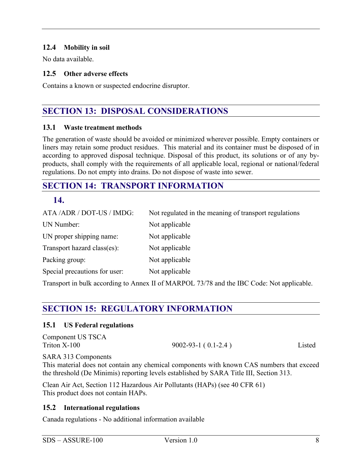#### **12.4 Mobility in soil**

No data available.

#### **12.5 Other adverse effects**

Contains a known or suspected endocrine disruptor.

### **SECTION 13: DISPOSAL CONSIDERATIONS**

#### **13.1 Waste treatment methods**

The generation of waste should be avoided or minimized wherever possible. Empty containers or liners may retain some product residues. This material and its container must be disposed of in according to approved disposal technique. Disposal of this product, its solutions or of any byproducts, shall comply with the requirements of all applicable local, regional or national/federal regulations. Do not empty into drains. Do not dispose of waste into sewer.

### **SECTION 14: TRANSPORT INFORMATION**

#### **14.**

| ATA /ADR / DOT-US / IMDG:     | Not regulated in the meaning of transport regulations |
|-------------------------------|-------------------------------------------------------|
| UN Number:                    | Not applicable                                        |
| UN proper shipping name:      | Not applicable                                        |
| Transport hazard class(es):   | Not applicable                                        |
| Packing group:                | Not applicable                                        |
| Special precautions for user: | Not applicable                                        |
|                               |                                                       |

Transport in bulk according to Annex II of MARPOL 73/78 and the IBC Code: Not applicable.

# **SECTION 15: REGULATORY INFORMATION**

#### **15.1 US Federal regulations**

| Component US TSCA |                           |        |
|-------------------|---------------------------|--------|
| Triton X-100      | $9002 - 93 - 1$ (0.1-2.4) | Listed |

SARA 313 Components

This material does not contain any chemical components with known CAS numbers that exceed the threshold (De Minimis) reporting levels established by SARA Title III, Section 313.

Clean Air Act, Section 112 Hazardous Air Pollutants (HAPs) (see 40 CFR 61) This product does not contain HAPs.

#### **15.2 International regulations**

Canada regulations - No additional information available